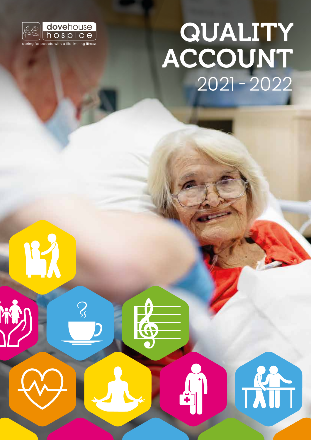

 $\mathcal{S}_{\mathcal{S}}$ 

K

# QUALITY ACCOUNT 2021 - 2022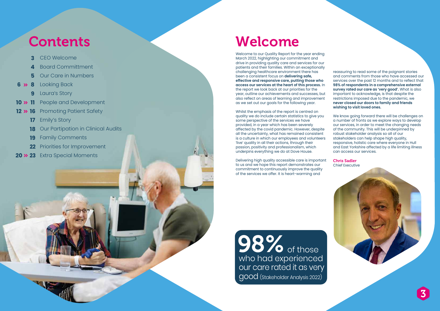Welcome to our Quality Report for the year ending March 2022, highlighting our commitment and drive in providing quality care and services for our patients and their families. Within an exceptionally challenging healthcare environment there has been a consistent focus on **delivering safe, effective and responsive care, putting those who access our services at the heart of this process.** In the report we look back at our priorities for the year, outline our achievements and successes, but also reflect on areas of learning and improvement as we set out our goals for the following year.

Whilst the emphasis of the report is centred on quality we do include certain statistics to give you some perspective of the services we have provided, in a year which has been severely affected by the covid pandemic. However, despite all the uncertainty, what has remained consistent is a culture in which our employees and volunteers 'live' quality in all their actions, through their passion, positivity and professionalism, which underpins everything we do at Dove House.

Delivering high quality accessible care is important to us and we hope this report demonstrates our commitment to continuously improve the quality of the services we offer. It is heart-warming and

**98%** of those who had experienced our care rated it as very good (Stakeholder Analysis 2022)

reassuring to read some of the poignant stories and comments from those who have accessed our services over the past 12 months and to reflect that **98% of respondents in a comprehensive external survey rated our care as 'very good'.** What is also important to acknowledge, is that despite the restrictions imposed due to the pandemic, we **never closed our doors to family and friends wishing to visit loved ones.**

We know going forward there will be challenges on a number of fronts as we explore ways to develop our services, in order to meet the changing needs of the community. This will be underpinned by robust stakeholder analysis so all of our stakeholders can help shape high quality, responsive, holistic care where everyone in Hull and East Yorkshire affected by a life limiting illness can access our services.

Chris Sadler Chief Executive

- **3** CEO Welcome
- **4** Board Committment
- **5** Our Care in Numbers
- **8 6** Looking Back
	- **9** Laura's Story
- **11 10** People and Development
- **16 12** Promoting Patient Safety
	- **17** Emily's Story
	- **18** Our Partipation in Clinical Audits
	- **19** Family Comments
	- **22** Priorities for Improvement
- **23 20** Extra Special Moments

# Contents Welcome

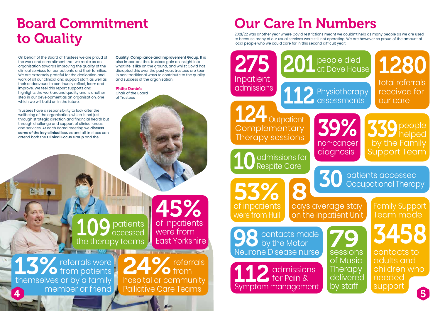109 patients accessed the therapy teams

13% referrals were<br>themselves or by a family hospital or community  $\blacktriangleright$   $\blacktriangleright$   $\blacktriangleright$  from patients themselves or by a family member or friend

 referrals 24% referr hospital or community Palliative Care Teams 4 **4 11 Principle of the Contract Contract Contract Contract Contract Contract Contract Contract Contract Contract Contract Contract Contract Contract Contract Contract Contract Contract Contract Contract Contract Contra** 

Trustees have a responsibility to look after the wellbeing of the organisation, which is not just through strategic direction and financial health but through challenge and support of clinical areas and services. At each Board meeting we **discuss some of the key clinical issues** and all trustees can attend both the **Clinical Focus Group** and the

**Quality, Compliance and Improvement Group.** It is also important that trustees gain an insight into what life is like on the ground, and whilst Covid has disrupted this over the past year, trustees are keen in non-traditional ways to contribute to the quality and success of the organisation.

> **79** sessions of Music **Therapy** delivered by staff

#### Philip Daniels Chair of the Board of Trustees

# Board Commitment to Quality

On behalf of the Board of Trustees we are proud of the work and commitment that we make as an organisation towards improving the quality of the clinical services for our patients and their families. We are extremely grateful for the dedication and work of all our clinical and support staff, as well as their endeavours to continually reflect, learn and improve. We feel this report supports and highlights the work around quality and is another step in our development as an organisation, one which we will build on in the future.

# Our Care In Numbers

2021/22 was another year where Covid restrictions meant we couldn't help as many people as we are used to because many of our usual services were still not operating. We are however so proud of the amount of local people who we could care for in this second difficult year:

45% of inpatients were from East Yorkshire 53%

of inpatients

201 people died<br>
at Dove House

112 Physiotherapy<br>
assessments

275

Inpatient admissions

# 30 patients accessed Occupational Therapy



were from Hull contacts made by the Motor Neurone Disease nurse 98

8

**T** Outpatient

**Complementary** Therapy sessions

10 admissions for<br>Respite Care

1280 total referrals received for our care

339people helped by the Family Support Team

124

 admissions for Pain & Symptom management 3458

Family Support Team made

contacts to adults and children who needed support



days average stay on the Inpatient Unit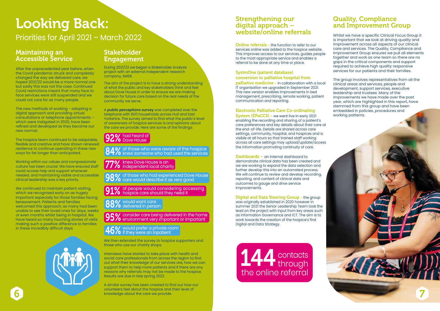# Looking Back:

Priorities for April 2021 – March 2022

### Maintaining an Accessible Service

After the unprecedented year before, when the Covid pandemic struck and completely changed the way we delivered care, we hoped 2021/22 would be a more normal one but sadly this was not the case. Continued Covid restrictions meant that many face to face services were still suspended and we could not care for as many people.

The new methods of working - adopting a digital approach and providing virtual consultations or telephone appointments – which were instigated in 2020, have been refined and developed as they became our new normal.

The hospice team continued to be adaptable. flexible and creative and have shown renewed resilience to continue operating in these new ways for far longer than anticipated.

We continued to maintain patient visiting. which we recognised early on as hugely important especially for those families facing bereavement. Patients and families welcomed this approach, as many had been unable to see their loved ones for days, weeks or even months whilst being in hospital. We have heard so many touching stories of visits making such a positive difference to families in these incredibly difficult days.



Working within our values and compassionate culture has been crucial. We have ensured staff could access help and support whenever needed, and maintaining visible and accessible clinical leadership was a key priority.

> We then extended the survey to hospice supporters and those who use our charity shops.

A similar survey has been created to find out how our volunteers feel about the hospice and their level of knowledge about the care we provide. Experience of the mospital contribution of the mospital contribution of the mospital contribution of the mospital contribution of the core we provide.

### Stakeholder Engagement

**Online referrals - the function to refer to our** services online was added to the hospice website. This improves access to our services, guides people to the most appropriate service and enables a referral to be done at any time or place.

During 2021/22 we began a Stakeholder Analysis project with an external independent research company, SMSR.

The aim of the project is to have a strong understanding of what the public and key stakeholders think and feel about Dove House in order to ensure we are making decision for future care based on the real needs of the community we serve.

> System (EPaCCS) - we went live in early 2021 enabling the recording and sharing of a patient's care preferences and key details about their care at the end-of-life. Details are shared across care settings, community, hospital, and hospices and is visible at all hours so that trained staff working across all care settings may upload/update/access the information promoting continuity of care.

A **public perceptions survey** was completed over the telephone with 800 households across Hull and East Yorkshire. The survey aimed to find what the public's level of awareness of hospice services is and opinions about the care we provide. Here are some of the findings:

> Dashboards – an internal dashboard to demonstrate clinical data has been created and we are working to expand the data selection and further develop this into an automated process. We will continue to review and develop recording, reporting, and content of clinical data and outcomes to gauge and drive service improvements.

Interviews have started to take place with health and social care professionals from across the region to find out what their knowledge of our services are, how we can support them to help more patients and if there are any reasons why referrals may not be made to the hospice. Results are due in late spring 2022

### Strengthening our digital approach – website/online referrals

#### SystmOne (patient database) conversion to palliative hospital from

palliative medicine - in collaboration with a local IT organisation we upgraded in September 2021. This new version enables improvements in bed management, prescribing, remote working, patient communication and reporting.

#### Electronic Palliative Care Co-ordinating

Digital and Data Steering Group - the group was originally established in 2020 however in summer 2021 the Senior Leadership Team took the lead on the project with input from key areas such as Information Governance and ICT. The aim is to work towards the creation of the hospice's first Digital and Data Strategy.

#### Quality, Compliance and Improvement Group

Whilst we have a specific Clinical Focus Group it is important that we look at driving quality and improvement across all aspects of our clinical care and services. The Quality, Compliance and Improvement Group ensures we pull all elements together and work as one team so there are no gaps in the critical components and support required to achieve high quality responsive services for our patients and their families.

The group involves representatives from all the clinical areas and services, people and development, support services, executive leadership and trustees. Many of the improvements we have made over the past year, which are highlighted in this report, have stemmed from this group and have been embedded in policies, procedures and working patterns.



# 92% had heard of Dove House

84% of those who were aware of the hospice<br>84% knew someone who had used the services

 $77\%$  knew Dove House is an  $\,$  independent local charity

98% of those who had experienced Dove House care would describe it as very good

91% of people would considering accessing hospice care should they need it

88% would want care<br>88% delivered in person

95% consider care being delivered in the home environment very important or important

 $46\%$  would preter a private room  $46\%$  if they were an inpatient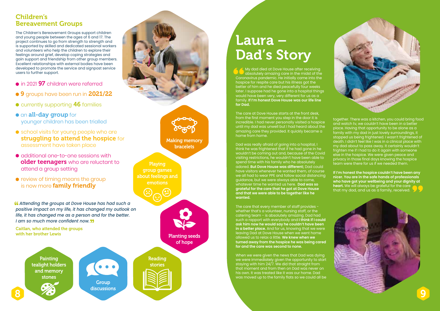### Children's Bereavement Groups

The Children's Bereavement Groups support children and young people between the ages of 6 and 17. The project continues to go from strength to strength and is supported by skilled and dedicated sessional workers and volunteers who help the children to explore their feelings around grief, develop coping strategies and gain support and friendship from other group members. Excellent relationships with external bodies have been developed to promote the service and signpost service users to further support.

- in 2021 97 children were referred
- $\bullet$  9 groups have been run in 2021/22
- **C** currently supporting 46 families
- **an all-day group for** younger children has been trialled
- school visits for young people who are struggling to attend the hospice for assessment have taken place
- $\bullet$  additional one-to-one sessions with older teenagers who are reluctant to attend a group setting
- **•** review of timing means the group is now more family friendly

**Making memory** bracelets

 *Attending the groups at Dove House has had such a positive impact on my life, it has changed my outlook on life, it has changed me as a person and for the better. I am so much more confident now.*

Caitlan, who attended the groups with her brother Lewis

Planting seeds of hope



Reading stories

The care that every member of staff provides whether that's a volunteer, nursing staff, or the catering team - is absolutely amazing. Dad had such a rapport with everybody and **I think if I could ask him now he would say he couldn't have been in a better place.** And for us, knowing that we were leaving Dad at Dove House when we went home allowed us to relax a little. **We knew when we turned away from the hospice he was being cared for and the care was second to none.**

 My dad died at Dove House after receiving absolutely amazing care in the midst of the Coronavirus pandemic. He initially came into the hospice for respite care but his illness got the better of him and he died peacefully four weeks later. I suppose had he gone into a hospital things would have been very, very different for us as a family. **If I'm honest Dove House was our life line for Dad.**

The care at Dove House starts at the front desk, from the first moment you step in the door it is incredible. I had never personally visited a hospice until my dad was unwell but I had heard about the amazing care they provided. It quickly became a home from home.

Dad was really afraid of going into a hospital, I think he was frightened that if he had gone in he wouldn't be coming out and, because of the Covid visiting restrictions, he wouldn't have been able to spend time with his family who he absolutely adored. **But Dove House was different;** Dad could have visitors whenever he wanted them, of course we all had to wear PPE and follow social distancing guidance, but we were always able to come, whatever time he wanted us here. **Dad was so grateful for the care that he got at Dove House and that we were able to be together like he wanted.** 





When we were given the news that Dad was dying we were immediately given the opportunity to start staying with him 24/7. We did that straight from that moment and from then on Dad was never on his own. It was treated like it was our home. Dad was moved up to the family flats so we could all be



together. There was a kitchen, you could bring food and watch tv, we couldn't have been in a better place. Having that opportunity to be alone as a family with my dad in just lovely surroundings, it stopped us being frightened. I wasn't frightened of death. I didn't feel like I was in a clinical place with my dad about to pass away. It certainly wouldn't frighten me if I had to do it again with someone else in the hospice. We were given peace and privacy in those final days knowing the hospice team were there for us if we needed them.

**If I'm honest the hospice couldn't have been any nicer. You are in the safe hands of professionals who have got your wellbeing and your dignity at heart.** We will always be grateful for the care that my dad, and us as a family, received.





# Laura – Dad's Story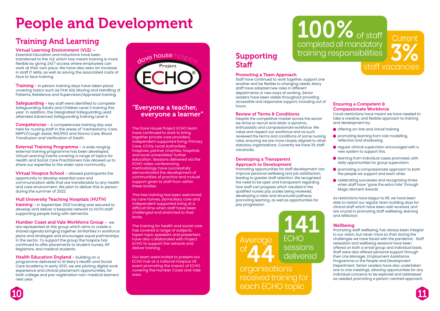# People and Development

# Supporting **Staff**

#### Promoting a Team Approach

Staff have continued to work together, support one another and be flexible to changing needs. Many staff have adopted new roles in different departments or new ways of working. Senior Leaders have been visible throughout providing accessible and responsive support, including out of hours.

#### **Review of Terms & Conditions**

Despite the competitive market across the sector we strive to recruit and retain a dynamic, enthusiastic and compassionate workforce. We value and respect our workforce and as such reviewed the terms and conditions of some nursing roles, ensuring we are more closely aligned to other statutory organisations. Currently we have 3% staff vacancies.

#### Developing a Transparent Approach to Development

- **O** offering on-line and virtual training
- **P** promoting learning from role modelling, reflection and shadowing.
- **•** regular clinical supervision encouraged with a new system to support this.
- **I** learning from individual cases promoted, with daily opportunities for group supervision.
- **P** promoting a compassionate approach to both the people we support and each other.
- celebrating successes and recognising times when staff have "gone the extra mile" through Magic Moment Awards

Promoting opportunities for staff development can improve personal wellbeing and job satisfaction, leading to greater staff retention. We recognised the need to be open and transparent regarding how staff can progress which resulted in the qualified nurses pay scales being reviewed, developing a clear and structured pathway promoting learning, as well as opportunities for pay progression.

#### Ensuring a Competent & Compassionate Workforce

Covid restrictions have meant we have needed to take a creative, and flexible approach to training and development by:

**Training -** In person training days have taken place covering topics such as First Aid, Moving and Handling of Patients, Resilience and Supervision/Appraisal training.

**Safeguarding - key staff were identified to complete** Safeguarding Adults and Children Level 3 training this year. In addition, the Designated Safeguarding Lead attended Advanced Safeguarding training Level 4.

**External Training Programme - a wide ranging** external training programme has been developed. Virtual Learning Events covering a range of topics for Health and Social Care Practitioners has allowed us to share our expertise to the wider care community.

> As restrictions have begun to lift, we have been able to restart our regular team building days for clinical staff which have been well received, and are crucial in promoting staff wellbeing, learning and reflection.

#### **Wellbeing**

Virtual Hospice School - allowed participants the opportunity to develop essential care and communication skills that are transferable to any health and care environment. We plan to deliver this in person during the summer of 2022.

training - in September 2021 funding was secured to develop and deliver a bespoke network to HUTH staff supporting people living with dementia.

> Promoting staff wellbeing, has always been integral to our vision, but never more so than during the challenges we have faced with the pandemic. Staff relaxation and wellbeing sessions have been offered on both a small group and individual basis. Staff were also offered personal support through their Line Manager, Employment Assistance Programme or the People and Development Department. Senior Leaders have also undertaken one to one meetings, allowing opportunities for any individual concerns to be explored and addressed as needed, promoting a person-centred approach.



**Health Education England - building on a** programme delivered to St Mary's Health and Social Care Academy in early 2021, we are piloting digital work experience and clinical placement opportunities, for both college and pre-registration non-medical learners next year.

# Training And Learning

Virtual Learning Environment (VLE) – Essential Education and Inductions have been transferred to the VLE which has meant training is more flexible by giving 24/7 access where employees can work at their own pace. We have also seen an increase in staff IT skills, as well as saving the associated costs of face to face training.

> 141 ECHO<br>sessions delivered

# 100% of staff completed all mandatory training responsibilities

Competencies - A competencies training day was held for nursing staff in the areas of Tracheotomy Care, NIPPV/Cough Assist, RIG/PEG and Stoma Care, Blood Transfusion and Verification of Death.

#### Hull University Teaching Hospitals (HUTH)

#### Humber Coast and Vale Workforce Group - we

are represented at this group which aims to create a shared agenda bringing together similarities in workforce plans and strategies and encourages equal partnerships in the sector. To support the group the hospice has continued to offer placements to student nurses, GP Registrars, and medical students.

### "Everyone a teacher, everyone a learner"

The Dove House Project ECHO team have continued to work to bring together private care providers, independent supported living, Primary Care, CCGs, Local Authorities, hospices, partner charities, hospitals and local universities/ further education. Sessions delivered via the ECHO video conferencing methodology have successfully demonstrated the development of communities of practice and mutual support given to staff from within these bodies.

This free training has been welcomed by care homes, domiciliary care and independent supported living at a difficult time when staff have been challenged and stretched to their limits.

The training for health and social care has covered a range of subjects. Expert topic speakers and presenters have also collaborated with Project ECHO to support the network and deliver training.

Our team were invited to present our ECHO hub at a national Hospice UK event promoting the impact of ECHO covering the Humber Coast and Vale area.





organisations received training for each ECHO topic

# staff vacancies 3%

**Current** 

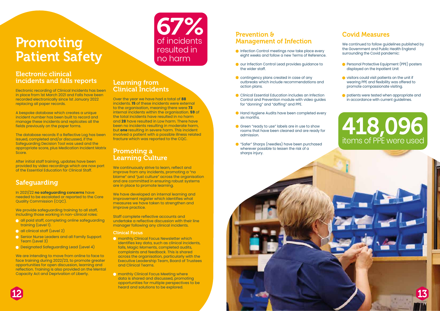# Promoting Patient Safety

### Electronic clinical incidents and falls reports

Electronic recording of Clinical Incidents has been in place from 1st March 2021 and Falls have been recorded electronically since 1st January 2022 replacing all paper records.

A bespoke database which creates a unique incident number has been built to record and manage these incidents and replicates all the fields previously on the paper forms.

We provide safeguarding training to all staff, including those working in non-clinical roles:

The database records if a Reflective Log has been issued, completed and/or discussed, if the Safeguarding Decision Tool was used and the appropriate score, plus Medication Incident Matrix Score.

- **all paid staff, completing online safeguarding** training (Level 1).
- **all clinical staff (Level 2)**
- **Senior Nurse Leaders and all Family Support** Team (Level 3)
- Designated Safeguarding Lead (Level 4)

After initial staff training, updates have been provided by video recordings which are now part of the Essential Education for Clinical Staff.

# Safeguarding

In 2021/22 **no safeguarding concerns** have needed to be escalated or reported to the Care Quality Commission (CQC).

We are intending to move from online to face to face training during 2022/23, to promote greater opportunities for open discussion, learning and reflection. Training is also provided on the Mental Capacity Act and Deprivation of Liberty.

#### Learning from Clinical Incidents

- **O** monthly Clinical Focus Newsletter which identifies key data, such as clinical incidents, falls, Magic Moments, completed audits, complaints and feedback. This is shared across the organisation, particularly with the Executive Leadership Team, Board of Trustees and Clinical Teams.
- **O** monthly Clinical Focus Meeting where data is shared and discussed, promoting opportunities for multiple perspectives to be heard and solutions to be explored.

Over the year we have had a total of **88**  incidents. **15** of these incidents were external to the organisation, meaning there were **73** internal incidents within the organisation. **59** of the total incidents have resulted in no harm and **28** have resulted in Low harm. There have been no incidents resulting in moderate harm, but **one** resulting in severe harm. This incident involved a patient with a possible illness related fracture which was reported to the CQC.

### Promoting a Learning Culture

- **Personal Protective Equipment (PPE) posters** displayed on the Inpatient Unit
- ighthrowing visitors could visit patients on the unit if wearing PPE and flexibility was offered to promote compassionate visiting.
- **O** patients were tested when appropriate and in accordance with current guidelines.

We continuously strive to learn, reflect and improve from any incidents, promoting a "no blame" and "just culture" across the organisation and are committed in ensuring robust systems are in place to promote learning.

We have developed an internal learning and improvement register which identifies what measures we have taken to strengthen and improve practice.

Staff complete reflective accounts and undertake a reflective discussion with their line manager following any clinical incidents.

#### Clinical Focus

### Prevention & Management of Infection

- **Infection Control meetings now take place every** eight weeks and follow a new Terms of Reference.
- our Infection Control Lead provides quidance to the wider staff.
- **C** contingency plans created in case of any outbreaks which include recommendations and action plans.
- **C** Clinical Essential Education includes an Infection Control and Prevention module with video guides for "donning" and "doffing" and PPE.
- **Hand Hygiene Audits have been completed every** six months.
- Green "ready to use" labels are in use to show rooms that have been cleaned and are ready for admission.
- **C** "Safer" Sharps (needles) have been purchased wherever possible to lessen the risk of a sharps injury.

## Covid Measures

We continued to follow guidelines published by the Government and Public Health England surrounding the Covid pandemic:

# 418,096 items of PPE were used





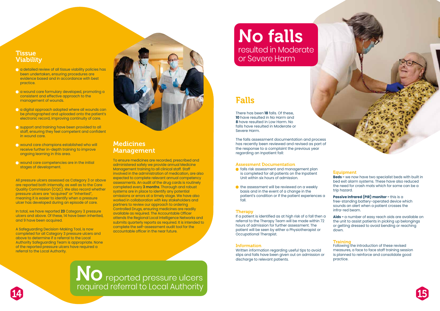### **Tissue** Viability

- a detailed review of all tissue viability policies has been undertaken, ensuring procedures are evidence based and in accordance with best practice.
- a wound care formulary developed, promoting a consistent and effective approach to the management of wounds.
- a digital approach adopted where all wounds can be photographed and uploaded onto the patient's electronic record, improving continuity of care.
- support and training have been provided to all staff, ensuring they feel competent and confident in wound care.
- wound care champions established who will receive further in-depth training to improve ongoing learning in this area.
- **O** wound care competencies are in the initial stages of development.

All pressure ulcers assessed as Category 3 or above are reported both internally, as well as to the Care Quality Commission (CQC). We also record whether pressure ulcers are "acquired" or "inherited", meaning it is easier to identify when a pressure ulcer has developed during an episode of care.

In total, we have reported **23** Category 3 pressure ulcers and above. Of these, 14 have been inherited, and 9 have been acquired.

A Safeguarding Decision-Making Tool, is now completed for all Category 3 pressure ulcers and above to determine if a referral to the Local Authority Safeguarding Team is appropriate. None of the reported pressure ulcers have required a referral to the Local Authority.

### Medicines Management

- **falls risk assessment and management plan**  is completed for all patients on the Inpatient Unit within six hours of admission.
- $\bullet$  the assessment will be reviewed on a weekly basis and in the event of a change in the patient's condition or if the patient experiences a fall.

To ensure medicines are recorded, prescribed and administered safely we provide annual Medicine Management training to all clinical staff. Staff involved in the administration of medication, are also expected to complete relevant annual competency assessments. An audit of the drug cards is routinely completed every **3 months**. Thorough and robust systems are in place to identify any potential omissions or errors at a timely stage. We have also worked in collaboration with key stakeholders and partners to review our approach to ordering Controlled Drugs, ensuring medicines are readily available as required. The Accountable Officer attends the Regional Local Intelligence Networks and submits quarterly reports as required. It is intended to complete the self-assessment audit tool for the accountable officer in the near future.

**Passive Infrared (PIR) monitor - this is a** free-standing battery-operated device which sounds an alert when a patient crosses the infra-red beam.



There has been **18** falls. Of these, **10** have resulted in No Harm and **8** have resulted in Low Harm. No falls have resulted in Moderate or Severe Harm.

The falls assessment documentation and process has recently been reviewed and revised as part of the response to a complaint the previous year regarding an Inpatient fall:

#### Assessment Documentation

#### Therapy

If a patient is identified as at high risk of a fall then a referral to the Therapy Team will be made within 72 hours of admission for further assessment. The patient will be seen by either a Physiotherapist or Occupational Therapist.

#### Information

Written information regarding useful tips to avoid slips and falls have been given out on admission or discharge to relevant patients.

**TVU** reported pressure ulcers required referral to Local Authority No  $14$  14  $15$ 



#### **Equipment**

**Beds -** we now have two specialist beds with built in bed exit alarm systems. These have also reduced the need for crash mats which for some can be a trip hazard.

**Aids -** a number of easy reach aids are available on the unit to assist patients in picking up belongings or getting dressed to avoid bending or reaching down.

#### Training

Following the introduction of these revised measures, a face to face staff training session is planned to reinforce and consolidate good practice.



No falls resulted in Moderate or Severe Harm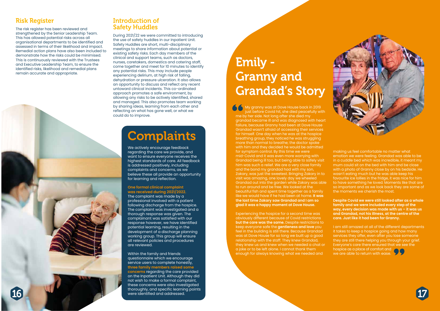My granny was at Dove House back in 2019 just before Covid hit, she died peacefully with me by her side. Not long after she died my grandad became ill and was diagnosed with heart failure, because Granny had been at Dove House Grandad wasn't afraid of accessing their services for himself. One day when he was at the hospice breathing group, they noticed he was struggling more than normal to breathe; the doctor spoke with him and they decided he would be admitted for symptom control. By this time we were mid-Covid and it was even more worrying with Grandad being ill too, but being able to safely visit him was such a relief. We are a very close family and the bond my grandad had with my son, Zakary, was just the sweetest. Bringing Zakary in to visit was amazing, one lovely day we wheeled Grandad out into the garden while Zakary was able to run around and be free. We looked at the beautiful fish and spent time together as a family like we would have if he had been at home. **It was the last time Zakary saw Grandad and I am so glad it was a happy moment at Dove House.** 

Experiencing the hospice for a second time was obviously different because of Covid restrictions **but the care was the same.** Despite restrictions to keep everyone safe the **gentleness and love** you feel in the building is still there. Because Grandad was at Dove House for so long we built up a good relationship with the staff. They knew Grandad, they knew us and knew when we needed a chat or a joke or to be left alone. I cannot thank them enough for always knowing what we needed and



making us feel comfortable no matter what emotion we were feeling. Grandad was able to be in a cuddle bed which was incredible, it meant my mum could sit on the bed with him and be close with a photo of Granny close by on his bedside. He wasn't eating much but he was able keep his favourite ice lollies in the fridge, it was nice for him to have something he loved. Moments like that are so important and as we look back they are some of the moments we cherish the most.

**Despite Covid we were still looked after as a whole family and we were included every step of the way, every decision was made with us – it was us and Grandad, not his illness, at the centre of the care. Just like it had been for Granny.**

Within the family and friends questionnaire which we encourage service users to complete honestly, **three family members raised some concerns** regarding the care provided on the Inpatient Unit. Although they did not wish to make a formal complaint, these concerns were also investigated<br>thoroughly, and specific learning points

I am still amazed at all of the different departments it takes to keep a hospice going and how many services they offer, even after you lose someone they are still there helping you through your grief. Everyone's care there ensured that we see the hospice as a place of comfort and we are able to return with ease.



# Emily - Granny and Grandad's Story

### Risk Register

The risk register has been reviewed and strengthened by the Senior Leadership Team. This has allowed potential risks across all organisational departments to be identified and assessed in terms of their likelihood and impact. Remedial action plans have also been included to demonstrate how the risks could be minimised. This is continuously reviewed with the Trustees and Executive Leadership Team, to ensure the identified risks, likelihood and remedial plans remain accurate and appropriate.

### Introduction of Safety Huddles

During 2021/22 we were committed to introducing the use of safety huddles in our Inpatient Unit. Safety Huddles are short, multi-disciplinary meetings to share information about potential or existing safety risks. Each day members of the clinical and support teams, such as doctors, nurses, caretakers, domestics and catering staff, come together and meet for 10 minutes to identify any potential risks. This may include people experiencing delirium, at high risk of falling, dehydration or pressure ulceration. It also allows an opportunity to discuss and reflect any recent untoward clinical incidents. This co-ordinated approach promotes a safe environment, by allowing any risks to be actively identified, shared and managed. This also promotes team working by sharing ideas, learning from each other and reflecting on what has gone well, or what we could do to improve.

# **Complaints**

We actively encourage feedback regarding the care we provide, and want to ensure everyone receives the highest standards of care. All feedback is addressed positively, including complaints and concerns, as we believe these all provide an opportunity for learning and reflection.

#### **One formal clinical complaint was received during 2021/2022.**

The complaint was made by a professional involved with a patient following discharge from the hospice. The complaint was investigated and a thorough response was given. The complainant was satisfied with our response however, we have identified potential learning, resulting in the development of a discharge planning working group. This group will ensure all relevant policies and procedures are reviewed.

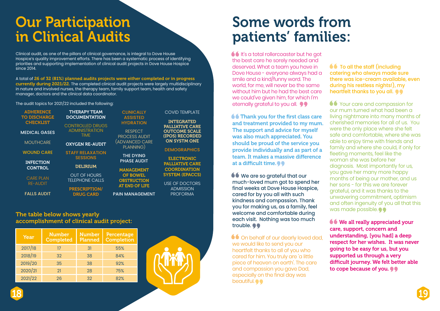# Our Participation in Clinical Audits

# Some words from patients' families:

**1** It's a total rollercoaster but he got the best care he sorely needed and deserved. What a team you have in Dove House - everyone always had a smile and a kind/funny word. The world, for me, will never be the same without him but he had the best care we could've given him, for which I'm eternally grateful to you all.  $\bullet \bullet$ 

**66 Thank you for the first class care** and treatment provided to my mum. The support and advice for myself was also much appreciated. You should be proud of the service you provide individually and as part of a team. It makes a massive difference at a difficult time. $\bullet \bullet$ 

**<sup>66</sup>** We are so grateful that our much-loved mum got to spend her final weeks at Dove House Hospice, cared for by you all with such kindness and compassion. Thank you for making us, as a family, feel welcome and comfortable during each visit. Nothing was too much trouble.  $\bullet \bullet$ 

**66** On behalf of our dearly loved dad, we would like to send you our heartfelt thanks to all of you who cared for him. You truly are 'a little piece of heaven on earth'. The care and compassion you gave Dad, especially on the final day was beautiful.  $\bullet \bullet$ 

Clinical audit, as one of the pillars of clinical governance, is integral to Dove House Hospice's quality improvement efforts. There has been a systematic process of identifying priorities and supporting implementation of clinical audit projects in Dove House Hospice since 2014.

A total of 26 of 32 (81%) planned audits projects were either completed or in progress currently during 2021/22. The completed clinical audit projects were largely multidisciplinary in nature and involved nurses, the therapy team, family support team, health and safety manager, doctors and the clinical data coordinator.

> ASSISTED YDRATION RESPECT **OCESS AUDIT**

VANCED CARE PLANNING)

THE DYING **HASE AUDIT** 

**ANAGEMENT** OF BOWEL **BSTRUCTION END OF LIFE** 

**MANAGEMENT** 

The audit topics for 2021/22 included the following:

**ADHI TO DIS CHE** 

**MEDIC** 

**MOU** 

WOU

**INFE** CO<sub>1</sub>

> CAR RE-

**FALLS** 

| <b>RENCE</b><br><b>CHARGE</b> | <b>THERAPY TEAM</b><br><b>DOCUMENTATION</b>   |                      |
|-------------------------------|-----------------------------------------------|----------------------|
| <b>CKLIST</b>                 | <b>CONTROLLED DRUGS</b>                       | ŀ                    |
| <b>AL GASES</b>               | <b>ADMINISTRATION</b><br><b>TIME</b>          | PR                   |
| <b>THCARE</b>                 | <b>OXYGEN RE-AUDIT</b>                        | (AD                  |
| <b>ID CARE</b>                | <b>STAFF RELAXATION</b><br><b>SESSIONS</b>    |                      |
| <b>CTION</b><br><b>ITROL</b>  | <b>DELIRIUM</b>                               | P<br>M               |
| E PLAN<br>AUDIT               | <b>OUT OF HOURS</b><br><b>TELEPHONE CALLS</b> | O <sub>1</sub><br>A1 |
| <b>AUDIT</b>                  | <b>PRESCRIPTION/</b><br><b>DRUG CARD</b>      | <b>PAIN</b>          |

# **CLINICALLY**

COVID TEMPLATE

INTEGRATED PALLIATIVE CARE OUTCOME SCALE (IPOS) RECORDED ON SYSTM ONE

**DEMOGRAPHICS** 

ELECTRONIC PALLIATIVE CARE **COORDINATION** SYSTEM (EPACCS)

USE OF DOCTORS ADMISSION PROFORMA

#### The table below shows yearly accomplishment of clinical audit project:

| <b>Year</b> | <b>Number</b><br><b>Completed</b> | <b>Number</b><br><b>Planned</b> | <b>Percentage</b><br><b>Completion</b> |
|-------------|-----------------------------------|---------------------------------|----------------------------------------|
| 2017/18     | 17                                | 31                              | 55%                                    |
| 2018/19     | 32                                | 38                              | 84%                                    |
| 2019/20     | 35                                | 38                              | 92%                                    |
| 2020/21     | 21                                | 28                              | 75%                                    |
| 2021/22     | 26                                | 32                              | 82%                                    |



**66 We all really appreciated your** care, support, concern and understanding, [you had] a deep respect for her wishes. It was never going to be easy for us, but you supported us through a very difficult journey. We felt better able to cope because of you.





**66** To all the staff (including catering who always made sure there was ice-cream available, even during his restless nights!), my heartfelt thanks to you all.  $\bullet\bullet$ 

**66** Your care and compassion for our mum turned what had been a living nightmare into many months of cherished memories for all of us. You were the only place where she felt safe and comfortable, where she was able to enjoy time with friends and family and where she could, if only for fleeting moments, feel like the woman she was before her diagnosis. Most importantly for us, you gave her many more happy months of being our mother, and us her sons - for this we are forever grateful, and it was thanks to the unwavering commitment, optimism and often ingenuity of you all that this was made possible.  $\bullet$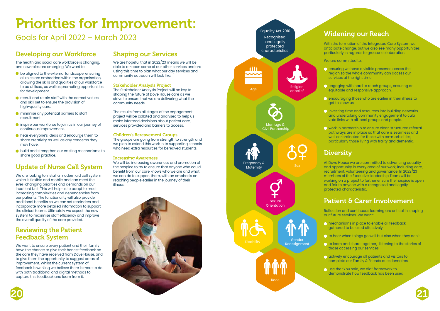



# Priorities for Improvement:

Goals for April 2022 – March 2023

## Developing our Workforce

The health and social care workforce is changing, and new roles are emerging. We want to:

- $\bullet$  be aligned to the external landscape, ensuring all roles are embedded within the organisation, allowing the skills and qualities of our workforce to be utilised, as well as promoting opportunities for development.
- **C** recruit and retain staff with the correct values and skill set to ensure the provision of high-quality care.
- $\bullet$  minimise any potential barriers to staff recruitment.
- **inspire our workforce to join us in our journey of** continuous improvement.
- **C** hear everyone's ideas and encourge them to share creativity as well as any concerns they may have.
- $\bullet$  build and strengthen our existing mechanisms to share good practice.

We want to ensure every patient and their family have the chance to give their honest feedback on the care they have received from Dove House, and to give them the opportunity to suggest areas of improvement. Whilst the current system of feedback is working we believe there is more to do with both traditional and digital methods to capture this feedback and learn from it.

# Update of Nurse Call System

The groups are going from strength to strength and we plan to extend this work in to supporting schools who need extra resources for bereaved students.

We are looking to install a modern aid call system which is flexible and mobile and can meet the ever-changing priorities and demands on our Inpatient Unit. This will help us to adapt to meet increasing complexities and dependencies from our patients. The functionality will also provide additional benefits so we can set reminders and incorporate more detailed information to support the clinical teams. Ultimately we expect the new system to maximise staff efficiency and improve the overall quality of the care provided.

### Reviewing the Patient Feedback System

**O** encouraging those who are earlier in their illness to get to know us

 $\bigcirc$  investing time and resources into building networks, and undertaking community engagement to culti vate links with all local groups and people.

### Shaping our Services

We are hopeful that in 2022/23 means we will be able to re-open some of our other services and are using this time to plan what our day services and community outreach will look like.

> **n** mechanisms in place to enable all feedback gathered to be used effectively.

 $\bigcirc$  to hear when things go well but also when they don't.

#### Stakeholder Analysis Project

The Stakeholder Analysis Project will be key to shaping the future of Dove House care as we strive to ensure that we are delivering what the community needs.

> **n** use the "You said, we did" framework to demonstrate how feedback has been used



The results from all stages of the engagement project will be collated and analysed to help us make informed decisions about patient care, services provided and barriers to access.

#### Children's Bereavement Groups

#### Increasing Awareness

We will be increasing awareness and promotion of the hospice to try to ensure that anyone who could benefit from our care knows who we are and what we can do to support them, with an emphasis on reaching people earlier in the journey of their illness.

### Widening our Reach

With the formation of the Integrated Care System we anticipate change, but we also see many opportunities, particularly in regards to greater collaboration.

We are committed to:

 ensuring we have a visible presence across the region so the whole community can access our services at the right time.

 engaging with hard to reach groups, ensuring an equitable and responsive approach.

 work in partnership to ensure clear, structured referral pathways are in place so that care is seamless and well co-ordinated for those with co-morbidities, particularly those living with frailty and dementia.

#### **Diversity**

At Dove House we are committed to advancing equality and opportunity in every area of our work, including care, recruitment, volunteering and governance. In 2022/23 members of the Executive Leadership Team will be working on a project to further ensure the hospice is open and fair to anyone with a recognised and legally protected characteristic.

### Patient & Carer Involvement

Reflection and continuous learning are critical in shaping our future services. We want:

 to learn and share together, listening to the stories of those accessing our services.

 actively encourage all patients and visitors to complete our Family & Friends questionnaires.

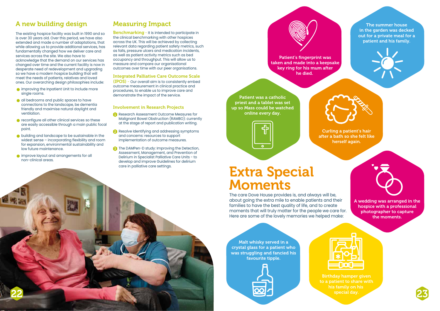Malt whisky served in a crystal glass for a patient who was struggling and fancied his favourite tipple.





Curling a patient's hair after a bath so she felt like herself again.



Patient was a catholic priest and a tablet was set up so Mass could be watched online every day.

The summer house in the garden was decked out for a private meal for a patient and his family.



A wedding was arranged in the hospice with a professional photographer to capture the moments.





Patient's fingerprint was taken and made into a keepsake key ring for his mum after he died.

# Extra Special Moments

The care Dove House provides is, and always will be, about going the extra mile to enable patients and their families to have the best quality of life, and to create moments that will truly matter for the people we care for. Here are some of the lovely memories we helped make:

> Birthday hamper given to a patient to share with his family on his special day.

### A new building design

- **Improving the Inpatient Unit to include more** single rooms.
- **all bedrooms and public spaces to have**  connections to the landscape, be dementia friendly and maximise natural daylight and ventilation.
- **C** reconfigure all other clinical services so these are easily accessible through a main public focal point.
- **building and landscape to be sustainable in the**  widest sense – incorporating flexibility and room for expansion, environmental sustainability and low future maintenance.
- improve layout and arrangements for all non-clinical areas.

The existing hospice facility was built in 1990 and so is over 30 years old. Over this period, we have also extended and made a number of adaptations, that while allowing us to provide additional services, has fundamentally changed how we deliver care and services across the site. We also have to acknowledge that the demand on our services has changed over time and the current facility is now in desperate need of redevelopment and upgrading so we have a modern hospice building that will meet the needs of patients, relatives and loved ones. Our overarching design philosophies include:

**Benchmarking - It is intended to participate in** the clinical benchmarking with other hospices across the UK. This will be achieved by collecting relevant data regarding patient safety metrics, such as falls, pressure ulcers and medication incidents, as well as patient activity metrics such as bed occupancy and throughput. This will allow us to measure and compare our organisational outcomes over time with our peer organisations.

- **Research Assessment Outcome Measures for**  Malignant Bowel Obstruction (RAMBO): currently at the stage of report and publication writing.
- **2** Resolve Identifying and addressing symptoms and concerns: resources to support implementation of outcome measures.
- **3** The DAMPen-D study: Improving the Detection, Assessment, Management, and Prevention of Delirium in Specialist Palliative Care Units - to develop and improve Guidelines for delirium care in palliative care settings.

### Measuring Impact

#### Integrated Palliative Care Outcome Scale

(IPOS) - Our overall aim is to consistently embed outcome measurement in clinical practice and procedures, to enable us to improve care and demonstrate the impact of the service.

#### Involvement in Research Projects